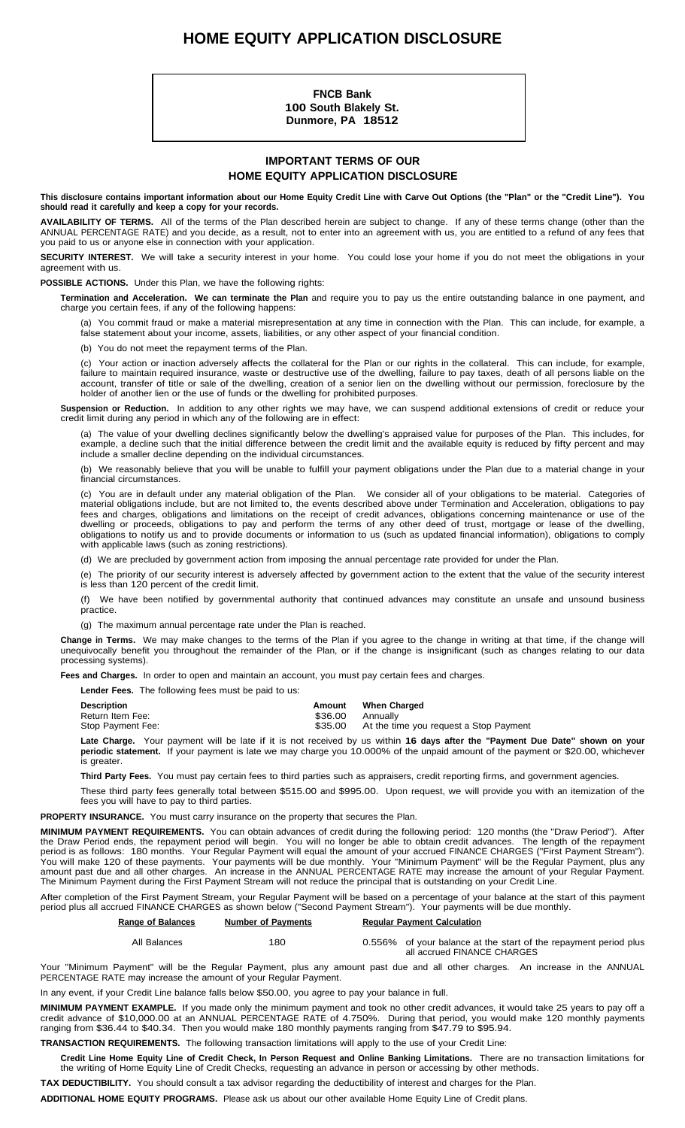# **HOME EQUITY APPLICATION DISCLOSURE**

**FNCB Bank 100 South Blakely St. Dunmore, PA 18512**

### **IMPORTANT TERMS OF OUR HOME EQUITY APPLICATION DISCLOSURE**

This disclosure contains important information about our Home Equity Credit Line with Carve Out Options (the "Plan" or the "Credit Line"). You **should read it carefully and keep a copy for your records.**

**AVAILABILITY OF TERMS.** All of the terms of the Plan described herein are subject to change. If any of these terms change (other than the ANNUAL PERCENTAGE RATE) and you decide, as a result, not to enter into an agreement with us, you are entitled to a refund of any fees that you paid to us or anyone else in connection with your application.

**SECURITY INTEREST.** We will take a security interest in your home. You could lose your home if you do not meet the obligations in your agreement with us.

#### **POSSIBLE ACTIONS.** Under this Plan, we have the following rights:

**Termination and Acceleration. We can terminate the Plan** and require you to pay us the entire outstanding balance in one payment, and charge you certain fees, if any of the following happens:

(a) You commit fraud or make a material misrepresentation at any time in connection with the Plan. This can include, for example, a false statement about your income, assets, liabilities, or any other aspect of your financial condition.

(b) You do not meet the repayment terms of the Plan.

(c) Your action or inaction adversely affects the collateral for the Plan or our rights in the collateral. This can include, for example, failure to maintain required insurance, waste or destructive use of the dwelling, failure to pay taxes, death of all persons liable on the account, transfer of title or sale of the dwelling, creation of a senior lien on the dwelling without our permission, foreclosure by the holder of another lien or the use of funds or the dwelling for prohibited purposes.

**Suspension or Reduction.** In addition to any other rights we may have, we can suspend additional extensions of credit or reduce your credit limit during any period in which any of the following are in effect:

(a) The value of your dwelling declines significantly below the dwelling's appraised value for purposes of the Plan. This includes, for example, a decline such that the initial difference between the credit limit and the available equity is reduced by fifty percent and may include a smaller decline depending on the individual circumstances.

(b) We reasonably believe that you will be unable to fulfill your payment obligations under the Plan due to a material change in your financial circumstances.

(c) You are in default under any material obligation of the Plan. We consider all of your obligations to be material. Categories of material obligations include, but are not limited to, the events described above under Termination and Acceleration, obligations to pay fees and charges, obligations and limitations on the receipt of credit advances, obligations concerning maintenance or use of the dwelling or proceeds, obligations to pay and perform the terms of any other deed of trust, mortgage or lease of the dwelling, obligations to notify us and to provide documents or information to us (such as updated financial information), obligations to comply with applicable laws (such as zoning restrictions).

(d) We are precluded by government action from imposing the annual percentage rate provided for under the Plan.

(e) The priority of our security interest is adversely affected by government action to the extent that the value of the security interest is less than 120 percent of the credit limit.

(f) We have been notified by governmental authority that continued advances may constitute an unsafe and unsound business practice.

(g) The maximum annual percentage rate under the Plan is reached.

**Change in Terms.** We may make changes to the terms of the Plan if you agree to the change in writing at that time, if the change will unequivocally benefit you throughout the remainder of the Plan, or if the change is insignificant (such as changes relating to our data processing systems).

**Fees and Charges.** In order to open and maintain an account, you must pay certain fees and charges.

**Lender Fees.** The following fees must be paid to us:

| <b>Description</b> | Amount  | <b>When Charged</b>                    |
|--------------------|---------|----------------------------------------|
| Return Item Fee:   | \$36.00 | Annually                               |
| Stop Payment Fee:  | \$35.00 | At the time you request a Stop Payment |

**Late Charge.** Your payment will be late if it is not received by us within **16 days after the "Payment Due Date" shown on your periodic statement.** If your payment is late we may charge you 10.000% of the unpaid amount of the payment or \$20.00, whichever is greater.

**Third Party Fees.** You must pay certain fees to third parties such as appraisers, credit reporting firms, and government agencies.

These third party fees generally total between \$515.00 and \$995.00. Upon request, we will provide you with an itemization of the fees you will have to pay to third parties.

**PROPERTY INSURANCE.** You must carry insurance on the property that secures the Plan.

**MINIMUM PAYMENT REQUIREMENTS.** You can obtain advances of credit during the following period: 120 months (the "Draw Period"). After the Draw Period ends, the repayment period will begin. You will no longer be able to obtain credit advances. The length of the repayment period is as follows: 180 months. Your Regular Payment will equal the amount of your accrued FINANCE CHARGES ("First Payment Stream"). You will make 120 of these payments. Your payments will be due monthly. Your "Minimum Payment" will be the Regular Payment, plus any amount past due and all other charges. An increase in the ANNUAL PERCENTAGE RATE may increase the amount of your Regular Payment. The Minimum Payment during the First Payment Stream will not reduce the principal that is outstanding on your Credit Line.

After completion of the First Payment Stream, your Regular Payment will be based on a percentage of your balance at the start of this payment period plus all accrued FINANCE CHARGES as shown below ("Second Payment Stream"). Your payments will be due monthly.

| <b>Range of Balances</b> | <b>Number of Payments</b> | <b>Requiar Payment Calculation</b>                                                              |  |  |  |
|--------------------------|---------------------------|-------------------------------------------------------------------------------------------------|--|--|--|
| All Balances             | 180                       | 0.556% of your balance at the start of the repayment period plus<br>all accrued FINANCE CHARGES |  |  |  |

Your "Minimum Payment" will be the Regular Payment, plus any amount past due and all other charges. An increase in the ANNUAL PERCENTAGE RATE may increase the amount of your Regular Payment.

In any event, if your Credit Line balance falls below \$50.00, you agree to pay your balance in full.

**MINIMUM PAYMENT EXAMPLE.** If you made only the minimum payment and took no other credit advances, it would take 25 years to pay off a credit advance of \$10,000.00 at an ANNUAL PERCENTAGE RATE of 4.750%. During that period, you would make 120 monthly payments ranging from \$36.44 to \$40.34. Then you would make 180 monthly payments ranging from \$47.79 to \$95.94.

**TRANSACTION REQUIREMENTS.** The following transaction limitations will apply to the use of your Credit Line:

Credit Line Home Equity Line of Credit Check, In Person Request and Online Banking Limitations. There are no transaction limitations for the writing of Home Equity Line of Credit Checks, requesting an advance in person or accessing by other methods.

**TAX DEDUCTIBILITY.** You should consult a tax advisor regarding the deductibility of interest and charges for the Plan.

**ADDITIONAL HOME EQUITY PROGRAMS.** Please ask us about our other available Home Equity Line of Credit plans.